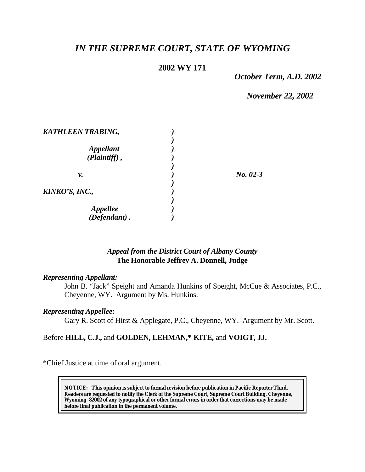# *IN THE SUPREME COURT, STATE OF WYOMING*

## **2002 WY 171**

*October Term, A.D. 2002*

*November 22, 2002*

| <b>KATHLEEN TRABING,</b> |            |
|--------------------------|------------|
|                          |            |
| <i><b>Appellant</b></i>  |            |
| $(Plaintiff)$ ,          |            |
|                          |            |
| ν.                       | $No. 02-3$ |
|                          |            |
| KINKO'S, INC.,           |            |
|                          |            |
|                          |            |
| Appellee<br>(Defendant). |            |

## *Appeal from the District Court of Albany County* **The Honorable Jeffrey A. Donnell, Judge**

#### *Representing Appellant:*

John B. "Jack" Speight and Amanda Hunkins of Speight, McCue & Associates, P.C., Cheyenne, WY. Argument by Ms. Hunkins.

#### *Representing Appellee:*

Gary R. Scott of Hirst & Applegate, P.C., Cheyenne, WY. Argument by Mr. Scott.

## Before **HILL, C.J.,** and **GOLDEN, LEHMAN,\* KITE,** and **VOIGT, JJ.**

\*Chief Justice at time of oral argument.

**NOTICE:** *This opinion is subject to formal revision before publication in Pacific Reporter Third. Readers are requested to notify the Clerk of the Supreme Court, Supreme Court Building, Cheyenne, Wyoming 82002 of any typographical or other formal errors in order that corrections may be made before final publication in the permanent volume.*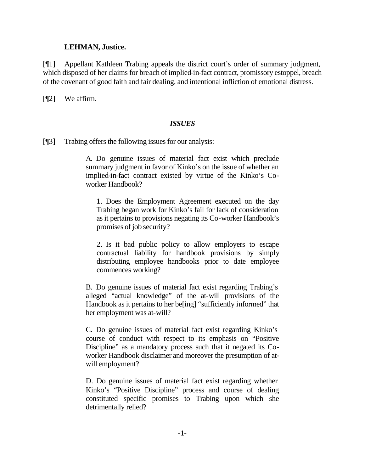## **LEHMAN, Justice.**

[¶1] Appellant Kathleen Trabing appeals the district court's order of summary judgment, which disposed of her claims for breach of implied-in-fact contract, promissory estoppel, breach of the covenant of good faith and fair dealing, and intentional infliction of emotional distress.

[**[**[2] We affirm.

## *ISSUES*

[¶3] Trabing offers the following issues for our analysis:

A. Do genuine issues of material fact exist which preclude summary judgment in favor of Kinko's on the issue of whether an implied-in-fact contract existed by virtue of the Kinko's Coworker Handbook?

1. Does the Employment Agreement executed on the day Trabing began work for Kinko's fail for lack of consideration as it pertains to provisions negating its Co-worker Handbook's promises of job security?

2. Is it bad public policy to allow employers to escape contractual liability for handbook provisions by simply distributing employee handbooks prior to date employee commences working?

B. Do genuine issues of material fact exist regarding Trabing's alleged "actual knowledge" of the at-will provisions of the Handbook as it pertains to her be[ing] "sufficiently informed" that her employment was at-will?

C. Do genuine issues of material fact exist regarding Kinko's course of conduct with respect to its emphasis on "Positive Discipline" as a mandatory process such that it negated its Coworker Handbook disclaimer and moreover the presumption of atwill employment?

D. Do genuine issues of material fact exist regarding whether Kinko's "Positive Discipline" process and course of dealing constituted specific promises to Trabing upon which she detrimentally relied?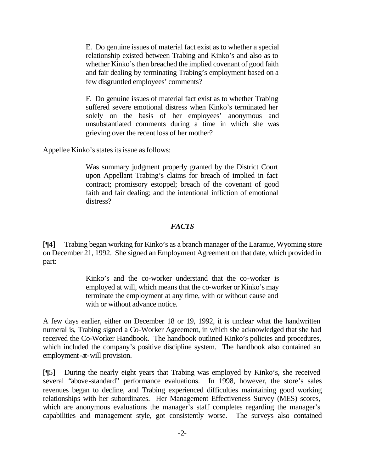E. Do genuine issues of material fact exist as to whether a special relationship existed between Trabing and Kinko's and also as to whether Kinko's then breached the implied covenant of good faith and fair dealing by terminating Trabing's employment based on a few disgruntled employees' comments?

F. Do genuine issues of material fact exist as to whether Trabing suffered severe emotional distress when Kinko's terminated her solely on the basis of her employees' anonymous and unsubstantiated comments during a time in which she was grieving over the recent loss of her mother?

Appellee Kinko's states its issue as follows:

Was summary judgment properly granted by the District Court upon Appellant Trabing's claims for breach of implied in fact contract; promissory estoppel; breach of the covenant of good faith and fair dealing; and the intentional infliction of emotional distress?

## *FACTS*

[¶4] Trabing began working for Kinko's as a branch manager of the Laramie, Wyoming store on December 21, 1992. She signed an Employment Agreement on that date, which provided in part:

> Kinko's and the co-worker understand that the co-worker is employed at will, which means that the co-worker or Kinko's may terminate the employment at any time, with or without cause and with or without advance notice.

A few days earlier, either on December 18 or 19, 1992, it is unclear what the handwritten numeral is, Trabing signed a Co-Worker Agreement, in which she acknowledged that she had received the Co-Worker Handbook. The handbook outlined Kinko's policies and procedures, which included the company's positive discipline system. The handbook also contained an employment-at-will provision.

[¶5] During the nearly eight years that Trabing was employed by Kinko's, she received several "above-standard" performance evaluations. In 1998, however, the store's sales revenues began to decline, and Trabing experienced difficulties maintaining good working relationships with her subordinates. Her Management Effectiveness Survey (MES) scores, which are anonymous evaluations the manager's staff completes regarding the manager's capabilities and management style, got consistently worse. The surveys also contained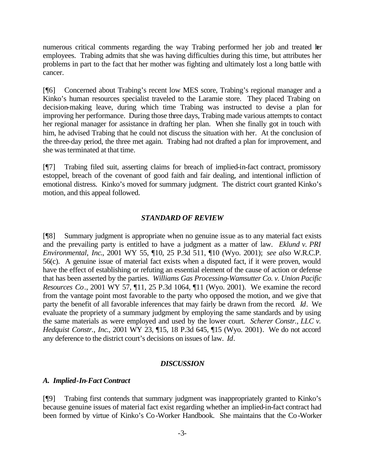numerous critical comments regarding the way Trabing performed her job and treated her employees. Trabing admits that she was having difficulties during this time, but attributes her problems in part to the fact that her mother was fighting and ultimately lost a long battle with cancer.

[¶6] Concerned about Trabing's recent low MES score, Trabing's regional manager and a Kinko's human resources specialist traveled to the Laramie store. They placed Trabing on decision-making leave, during which time Trabing was instructed to devise a plan for improving her performance. During those three days, Trabing made various attempts to contact her regional manager for assistance in drafting her plan. When she finally got in touch with him, he advised Trabing that he could not discuss the situation with her. At the conclusion of the three-day period, the three met again. Trabing had not drafted a plan for improvement, and she was terminated at that time.

[¶7] Trabing filed suit, asserting claims for breach of implied-in-fact contract, promissory estoppel, breach of the covenant of good faith and fair dealing, and intentional infliction of emotional distress. Kinko's moved for summary judgment. The district court granted Kinko's motion, and this appeal followed.

#### *STANDARD OF REVIEW*

[¶8] Summary judgment is appropriate when no genuine issue as to any material fact exists and the prevailing party is entitled to have a judgment as a matter of law. *Eklund v. PRI Environmental, Inc*., 2001 WY 55, ¶10, 25 P.3d 511, ¶10 (Wyo. 2001); *see also* W.R.C.P. 56(c). A genuine issue of material fact exists when a disputed fact, if it were proven, would have the effect of establishing or refuting an essential element of the cause of action or defense that has been asserted by the parties. *Williams Gas Processing-Wamsutter Co. v. Union Pacific Resources Co.*, 2001 WY 57, ¶11, 25 P.3d 1064, ¶11 (Wyo. 2001). We examine the record from the vantage point most favorable to the party who opposed the motion, and we give that party the benefit of all favorable inferences that may fairly be drawn from the record*. Id*. We evaluate the propriety of a summary judgment by employing the same standards and by using the same materials as were employed and used by the lower court. *Scherer Constr., LLC v. Hedquist Constr., Inc*., 2001 WY 23, ¶15, 18 P.3d 645, ¶15 (Wyo. 2001). We do not accord any deference to the district court's decisions on issues of law. *Id*.

#### *DISCUSSION*

#### *A. Implied-In-Fact Contract*

[¶9] Trabing first contends that summary judgment was inappropriately granted to Kinko's because genuine issues of material fact exist regarding whether an implied-in-fact contract had been formed by virtue of Kinko's Co-Worker Handbook. She maintains that the Co-Worker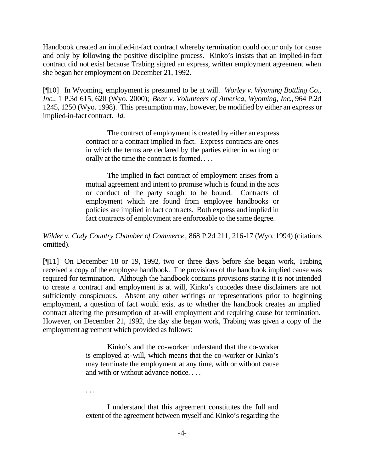Handbook created an implied-in-fact contract whereby termination could occur only for cause and only by following the positive discipline process. Kinko's insists that an implied-in-fact contract did not exist because Trabing signed an express, written employment agreement when she began her employment on December 21, 1992.

[¶10] In Wyoming, employment is presumed to be at will. *Worley v. Wyoming Bottling Co., Inc.*, 1 P.3d 615, 620 (Wyo. 2000); *Bear v. Volunteers of America, Wyoming, Inc*., 964 P.2d 1245, 1250 (Wyo. 1998). This presumption may, however, be modified by either an express or implied-in-fact contract. *Id.*

> The contract of employment is created by either an express contract or a contract implied in fact. Express contracts are ones in which the terms are declared by the parties either in writing or orally at the time the contract is formed. . . .

> The implied in fact contract of employment arises from a mutual agreement and intent to promise which is found in the acts or conduct of the party sought to be bound. Contracts of employment which are found from employee handbooks or policies are implied in fact contracts. Both express and implied in fact contracts of employment are enforceable to the same degree.

*Wilder v. Cody Country Chamber of Commerce*, 868 P.2d 211, 216-17 (Wyo. 1994) (citations omitted).

[¶11] On December 18 or 19, 1992, two or three days before she began work, Trabing received a copy of the employee handbook. The provisions of the handbook implied cause was required for termination. Although the handbook contains provisions stating it is not intended to create a contract and employment is at will, Kinko's concedes these disclaimers are not sufficiently conspicuous. Absent any other writings or representations prior to beginning employment, a question of fact would exist as to whether the handbook creates an implied contract altering the presumption of at-will employment and requiring cause for termination. However, on December 21, 1992, the day she began work, Trabing was given a copy of the employment agreement which provided as follows:

> Kinko's and the co-worker understand that the co-worker is employed at-will, which means that the co-worker or Kinko's may terminate the employment at any time, with or without cause and with or without advance notice. . . .

. . .

I understand that this agreement constitutes the full and extent of the agreement between myself and Kinko's regarding the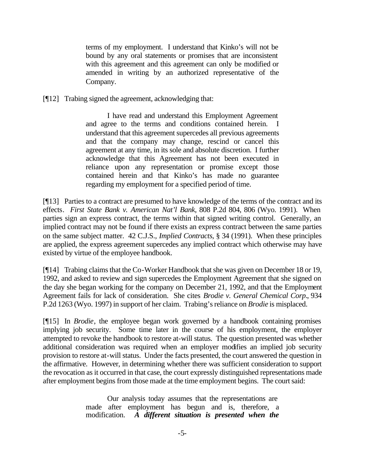terms of my employment. I understand that Kinko's will not be bound by any oral statements or promises that are inconsistent with this agreement and this agreement can only be modified or amended in writing by an authorized representative of the Company.

[¶12] Trabing signed the agreement, acknowledging that:

I have read and understand this Employment Agreement and agree to the terms and conditions contained herein. I understand that this agreement supercedes all previous agreements and that the company may change, rescind or cancel this agreement at any time, in its sole and absolute discretion. I further acknowledge that this Agreement has not been executed in reliance upon any representation or promise except those contained herein and that Kinko's has made no guarantee regarding my employment for a specified period of time.

[¶13] Parties to a contract are presumed to have knowledge of the terms of the contract and its effects. *First State Bank v. American Nat'l Bank*, 808 P.2d 804, 806 (Wyo. 1991). When parties sign an express contract, the terms within that signed writing control. Generally, an implied contract may not be found if there exists an express contract between the same parties on the same subject matter. 42 C.J.S.*, Implied Contracts*, § 34 (1991). When these principles are applied, the express agreement supercedes any implied contract which otherwise may have existed by virtue of the employee handbook.

[¶14] Trabing claims that the Co-Worker Handbook that she was given on December 18 or 19, 1992, and asked to review and sign supercedes the Employment Agreement that she signed on the day she began working for the company on December 21, 1992, and that the Employment Agreement fails for lack of consideration. She cites *Brodie v. General Chemical Corp.*, 934 P.2d 1263 (Wyo. 1997) in support of her claim. Trabing's reliance on *Brodie* is misplaced.

[¶15] In *Brodie*, the employee began work governed by a handbook containing promises implying job security. Some time later in the course of his employment, the employer attempted to revoke the handbook to restore at-will status. The question presented was whether additional consideration was required when an employer modifies an implied job security provision to restore at-will status. Under the facts presented, the court answered the question in the affirmative. However, in determining whether there was sufficient consideration to support the revocation as it occurred in that case, the court expressly distinguished representations made after employment begins from those made at the time employment begins. The court said:

> Our analysis today assumes that the representations are made after employment has begun and is, therefore, a modification. *A different situation is presented when the*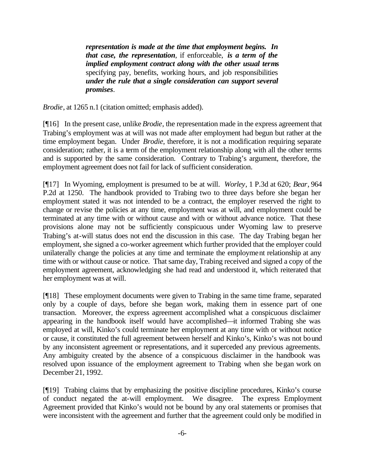*representation is made at the time that employment begins. In that case, the representation*, if enforceable, *is a term of the implied employment contract along with the other usual terms* specifying pay, benefits, working hours, and job responsibilities *under the rule that a single consideration can support several promises*.

*Brodie*, at 1265 n.1 (citation omitted; emphasis added).

[¶16] In the present case, unlike *Brodie*, the representation made in the express agreement that Trabing's employment was at will was not made after employment had begun but rather at the time employment began. Under *Brodie*, therefore, it is not a modification requiring separate consideration; rather, it is a term of the employment relationship along with all the other terms and is supported by the same consideration. Contrary to Trabing's argument, therefore, the employment agreement does not fail for lack of sufficient consideration.

[¶17] In Wyoming, employment is presumed to be at will. *Worley*, 1 P.3d at 620; *Bear*, 964 P.2d at 1250. The handbook provided to Trabing two to three days before she began her employment stated it was not intended to be a contract, the employer reserved the right to change or revise the policies at any time, employment was at will, and employment could be terminated at any time with or without cause and with or without advance notice. That these provisions alone may not be sufficiently conspicuous under Wyoming law to preserve Trabing's at-will status does not end the discussion in this case. The day Trabing began her employment, she signed a co-worker agreement which further provided that the employer could unilaterally change the policies at any time and terminate the employment relationship at any time with or without cause or notice. That same day, Trabing received and signed a copy of the employment agreement, acknowledging she had read and understood it, which reiterated that her employment was at will.

[¶18] These employment documents were given to Trabing in the same time frame, separated only by a couple of days, before she began work, making them in essence part of one transaction. Moreover, the express agreement accomplished what a conspicuous disclaimer appearing in the handbook itself would have accomplished—it informed Trabing she was employed at will, Kinko's could terminate her employment at any time with or without notice or cause, it constituted the full agreement between herself and Kinko's, Kinko's was not bound by any inconsistent agreement or representations, and it superceded any previous agreements. Any ambiguity created by the absence of a conspicuous disclaimer in the handbook was resolved upon issuance of the employment agreement to Trabing when she began work on December 21, 1992.

[¶19] Trabing claims that by emphasizing the positive discipline procedures, Kinko's course of conduct negated the at-will employment. We disagree. The express Employment Agreement provided that Kinko's would not be bound by any oral statements or promises that were inconsistent with the agreement and further that the agreement could only be modified in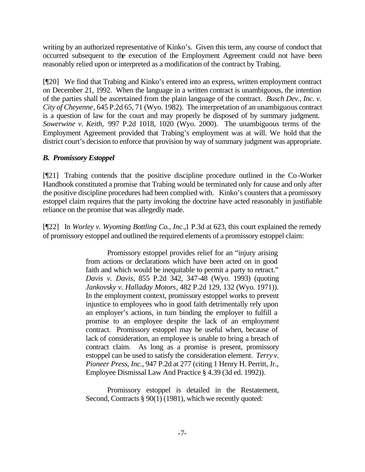writing by an authorized representative of Kinko's. Given this term, any course of conduct that occurred subsequent to the execution of the Employment Agreement could not have been reasonably relied upon or interpreted as a modification of the contract by Trabing.

[¶20] We find that Trabing and Kinko's entered into an express, written employment contract on December 21, 1992. When the language in a written contract is unambiguous, the intention of the parties shall be ascertained from the plain language of the contract. *Busch Dev., Inc. v. City of Cheyenne*, 645 P.2d 65, 71 (Wyo. 1982). The interpretation of an unambiguous contract is a question of law for the court and may properly be disposed of by summary judgment. *Sowerwine v. Keith,* 997 P.2d 1018, 1020 (Wyo. 2000). The unambiguous terms of the Employment Agreement provided that Trabing's employment was at will. We hold that the district court's decision to enforce that provision by way of summary judgment was appropriate.

# *B. Promissory Estoppel*

[¶21] Trabing contends that the positive discipline procedure outlined in the Co-Worker Handbook constituted a promise that Trabing would be terminated only for cause and only after the positive discipline procedures had been complied with. Kinko's counters that a promissory estoppel claim requires that the party invoking the doctrine have acted reasonably in justifiable reliance on the promise that was allegedly made.

[¶22] In *Worley v. Wyoming Bottling Co., Inc.,*1 P.3d at 623, this court explained the remedy of promissory estoppel and outlined the required elements of a promissory estoppel claim:

> Promissory estoppel provides relief for an "injury arising from actions or declarations which have been acted on in good faith and which would be inequitable to permit a party to retract." *Davis v. Davis*, 855 P.2d 342, 347-48 (Wyo. 1993) (quoting *Jankovsky v. Halladay Motors*, 482 P.2d 129, 132 (Wyo. 1971)). In the employment context, promissory estoppel works to prevent injustice to employees who in good faith detrimentally rely upon an employer's actions, in turn binding the employer to fulfill a promise to an employee despite the lack of an employment contract. Promissory estoppel may be useful when, because of lack of consideration, an employee is unable to bring a breach of contract claim. As long as a promise is present, promissory estoppel can be used to satisfy the consideration element. *Terry v. Pioneer Press, Inc.,* 947 P.2d at 277 (citing 1 Henry H. Perritt, Jr., Employee Dismissal Law And Practice § 4.39 (3d ed. 1992)).

> Promissory estoppel is detailed in the Restatement, Second, Contracts § 90(1) (1981), which we recently quoted: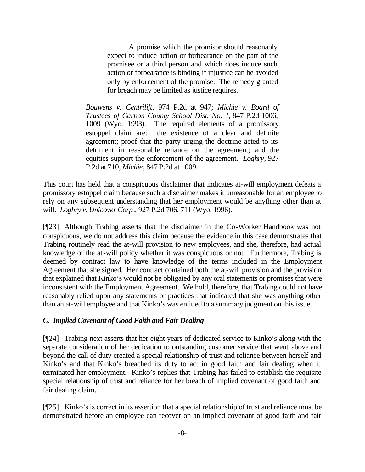A promise which the promisor should reasonably expect to induce action or forbearance on the part of the promisee or a third person and which does induce such action or forbearance is binding if injustice can be avoided only by enforcement of the promise. The remedy granted for breach may be limited as justice requires.

*Bouwens v. Centrilift*, 974 P.2d at 947; *Michie v. Board of Trustees of Carbon County School Dist. No. 1*, 847 P.2d 1006, 1009 (Wyo. 1993). The required elements of a promissory estoppel claim are: the existence of a clear and definite agreement; proof that the party urging the doctrine acted to its detriment in reasonable reliance on the agreement; and the equities support the enforcement of the agreement. *Loghry*, 927 P.2d at 710; *Michie*, 847 P.2d at 1009.

This court has held that a conspicuous disclaimer that indicates at-will employment defeats a promissory estoppel claim because such a disclaimer makes it unreasonable for an employee to rely on any subsequent understanding that her employment would be anything other than at will. *Loghry v. Unicover Corp*., 927 P.2d 706, 711 (Wyo. 1996).

[¶23] Although Trabing asserts that the disclaimer in the Co-Worker Handbook was not conspicuous, we do not address this claim because the evidence in this case demonstrates that Trabing routinely read the at-will provision to new employees, and she, therefore, had actual knowledge of the at-will policy whether it was conspicuous or not. Furthermore, Trabing is deemed by contract law to have knowledge of the terms included in the Employment Agreement that she signed. Her contract contained both the at-will provision and the provision that explained that Kinko's would not be obligated by any oral statements or promises that were inconsistent with the Employment Agreement. We hold, therefore, that Trabing could not have reasonably relied upon any statements or practices that indicated that she was anything other than an at-will employee and that Kinko's was entitled to a summary judgment on this issue.

# *C. Implied Covenant of Good Faith and Fair Dealing*

[¶24] Trabing next asserts that her eight years of dedicated service to Kinko's along with the separate consideration of her dedication to outstanding customer service that went above and beyond the call of duty created a special relationship of trust and reliance between herself and Kinko's and that Kinko's breached its duty to act in good faith and fair dealing when it terminated her employment. Kinko's replies that Trabing has failed to establish the requisite special relationship of trust and reliance for her breach of implied covenant of good faith and fair dealing claim.

[¶25] Kinko's is correct in its assertion that a special relationship of trust and reliance must be demonstrated before an employee can recover on an implied covenant of good faith and fair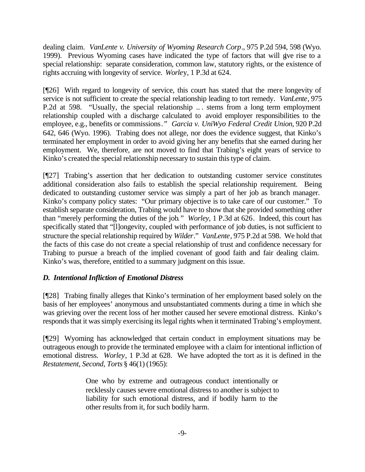dealing claim. *VanLente v. University of Wyoming Research Corp*., 975 P.2d 594, 598 (Wyo. 1999). Previous Wyoming cases have indicated the type of factors that will give rise to a special relationship: separate consideration, common law, statutory rights, or the existence of rights accruing with longevity of service. *Worle*y, 1 P.3d at 624.

[¶26] With regard to longevity of service, this court has stated that the mere longevity of service is not sufficient to create the special relationship leading to tort remedy. *VanLente*, 975 P.2d at 598. "Usually, the special relationship ... stems from a long term employment relationship coupled with a discharge calculated to avoid employer responsibilities to the employee, e.g., benefits or commissions*." Garcia v. UniWyo Federal Credit Union*, 920 P.2d 642, 646 (Wyo. 1996). Trabing does not allege, nor does the evidence suggest, that Kinko's terminated her employment in order to avoid giving her any benefits that she earned during her employment. We, therefore, are not moved to find that Trabing's eight years of service to Kinko's created the special relationship necessary to sustain this type of claim.

[¶27] Trabing's assertion that her dedication to outstanding customer service constitutes additional consideration also fails to establish the special relationship requirement. Being dedicated to outstanding customer service was simply a part of her job as branch manager. Kinko's company policy states: "Our primary objective is to take care of our customer." To establish separate consideration, Trabing would have to show that she provided something other than "merely performing the duties of the job*." Worley,* 1 P.3d at 626. Indeed, this court has specifically stated that "[l]ongevity, coupled with performance of job duties, is not sufficient to structure the special relationship required by *Wilder*." *VanLente*, 975 P.2d at 598. We hold that the facts of this case do not create a special relationship of trust and confidence necessary for Trabing to pursue a breach of the implied covenant of good faith and fair dealing claim. Kinko's was, therefore, entitled to a summary judgment on this issue.

# *D. Intentional Infliction of Emotional Distress*

[¶28] Trabing finally alleges that Kinko's termination of her employment based solely on the basis of her employees' anonymous and unsubstantiated comments during a time in which she was grieving over the recent loss of her mother caused her severe emotional distress. Kinko's responds that it was simply exercising its legal rights when it terminated Trabing's employment.

[¶29] Wyoming has acknowledged that certain conduct in employment situations may be outrageous enough to provide the terminated employee with a claim for intentional infliction of emotional distress. *Worley*, 1 P.3d at 628. We have adopted the tort as it is defined in the *Restatement, Second, Torts* § 46(1) (1965):

> One who by extreme and outrageous conduct intentionally or recklessly causes severe emotional distress to another is subject to liability for such emotional distress, and if bodily harm to the other results from it, for such bodily harm.